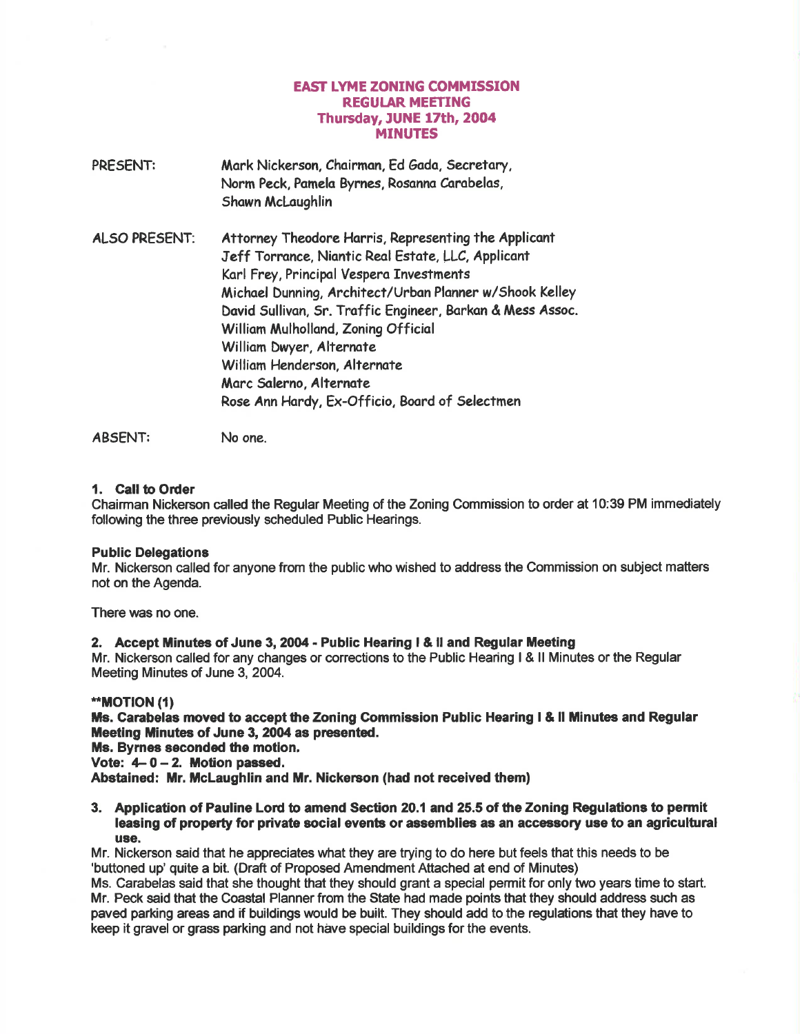# **EAST LYME ZONING COMMISSION** REGUIAR MEETING Thusday, JUNE l7th, 2004 MINUTES

PRESENT: Mark Nickerson, Chairman, Ed Gada, Secretary, Norm Peck, Pamela Byrnes, Rosanna Carabelas, Shawn McLaughlin ALSO PRESENT: Attorney Theodore Horris, Representing the Applicont Jeff Torronce, Niontic Reol Estote, LLC, Applicont Korl Frey, Principol Vespero Investments Michoel Dunning, Architect/Urbon Plonner w/Shook Kelley Dovid Sullivon, 5r. Troffic Engineer, Borkon & Mess Assoc. William Mulholland, Zoning Official Williom Dwyer, Alternate William Henderson, Alternate Morc Solerno, Alternote Rose Ann Hardy, Ex-Officio, Board of Selectmen

ABSENT: No one.

# 1. Call to Order

Chairman Nickerson called the Regular Meeting of the Zoning Commission to order at 10:39 PM immediately following the three previously scheduled Public Hearings.

#### Public Delegations

Mr. Nickerson called for anyone from the public who wished to address the Commission on subject matters not on the Agenda.

There was no one.

#### 2. Accept Minutes of June 3,2004 - Public Hearing I & ll and Regular Meeting

Mr. Nickerson called for any changes or corrections to the Public Hearing I & ll Minutes or the Regular Meeting Minutes of June 3, 2004.

#### \*\*MOTION (1)

Ms. Carabelas moved to accept the Zoning Commission Public Hearing I & II Minutes and Regular Meeting Minutes of June 3, 2004 as presented.

Ms. Byrnes seconded the motion.

Vote:  $4-0-2$ . Motion passed.

Abstained: Mr. McLaughlin and Mr. Nickerson (had not received them)

# 3. Application of Pauline Lord to amend Section 20.1 and 25.5 of the Zoning Regulations to permit leasing of property for private social events or assemblies as an accessory use to an agricultural use.

Mr. Nickerson said that he appreciates what they are trying to do here but feels that this needs to be 'buttoned up' quite a bit. (Draft of Proposed Amendment Attached at end of Minutes)

Ms. Carabelas said that she thought that they should grant a special permit for only two years time to start. Mr. Peck said that the Coastal Planner from the State had made points that they should address such as paved parking areas and if buildings would be built. They should add to the regulations that they have to keep it gravel or grass parking and not have special buildings for the events.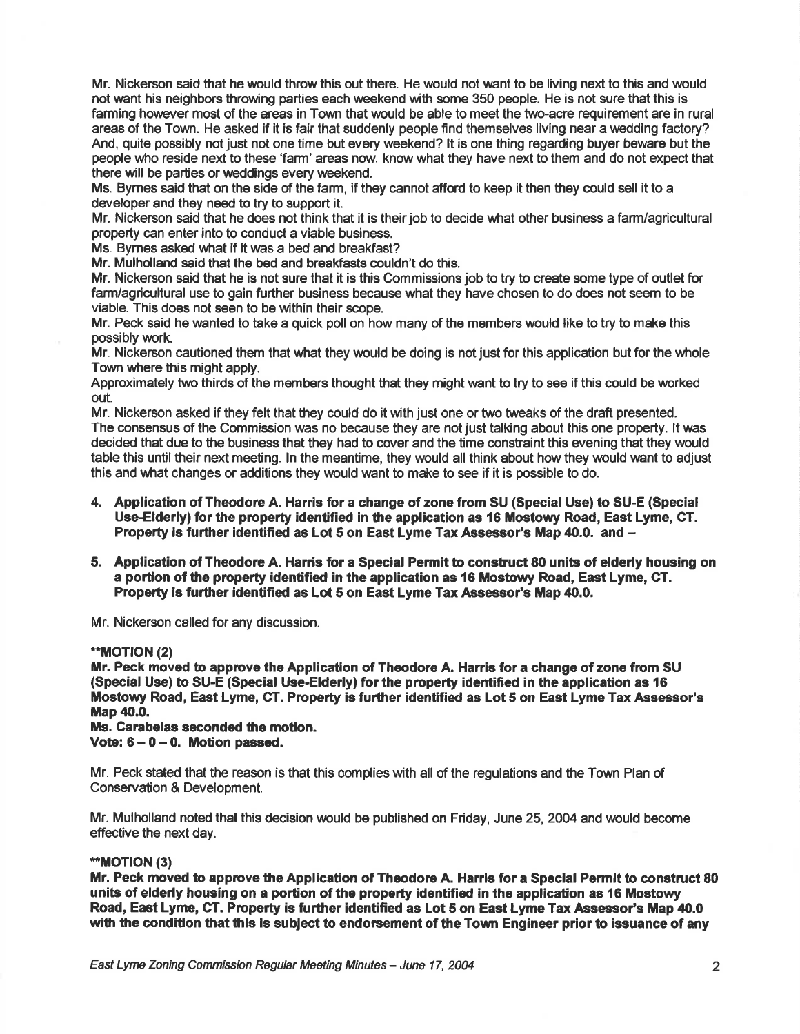Mr. Nickerson said that he would throw this out there. He would not want to be living next to this and would not want his neighbors throwing parties each weekend with some 350 people. He is not sure that this is farming however most of the areas in Town that would be able to meet the two-acre requirement are in rural areas of the Town. He asked if it is fair that suddenly people find themselves living near a wedding factory? And, quite possibly not just not one time but every weekend? lt is one thing regarding buyer beware but the people who reside next to these 'farm' areas now' know what they have next to them and do not expect that there will be parties or weddings every weekend.

Ms. Bymes said that on the side of the farm, if they cannot afford to keep it then they could sell it to a developer and they need to try to support it.

Mr. Nickerson said that he does not think that it is their job to decide what other business a farm/agricultural property can enter into to conduct a viable business.

Ms. Byrnes asked what if it was a bed and breakfast?

Mr. Mulholland said that the bed and breakfasts couldn't do this.

Mr. Nickerson said that he is not sure that it is this Commissions job to try to create some type of outlet for farm/agricultural use to gain further business because what they have chosen to do does not seem to be viable. This does not seen to be within their scope.

Mr. Peck said he wanted to take a quick poll on how many of the members would like to try to make this possibly work.

Mr. Nickerson cautioned them that what they would be doing is not just for this application but for the whole Town where this might apply.

Approximately two thirds of the members thought that they might want to try to see if this could be worked out.

Mr. Nickerson asked if they felt that they could do it with just one or two tweaks of the draft presented. The consensus of the Gommission was no because they are not just talking about this one property. lt was decided that due to the business that they had to cover and the time constraint this evening that they would table this until their next meeting. ln the meantime, they would all think about howthey would want to adjust this and what changes or additions they would want to make to see if it is possible to do.

- 4. Application of Theodore A. Harris for a change of zone from SU (Special Use) to SU-E (Special Use-Elderly) for the property identified in the application as 16 Mostowy Road, East Lyme, CT. Property is further identified as Lot 5 on East Lyme Tax Assessor's Map 40.0. and -
- 5. Application of Theodore A. Harris for a Special Permit to construct 80 units of elderly housing on a portion of the prcperty identified in the application as 16 Mostoury Road, East Lyme, CT. Property is further identified as Lot 5 on East Lyme Tax Assessor's Map 40.0.

Mr. Nickerson called for any discussion.

#### \*\*MOTION (2)

Mr. Peck moved to approve the Application of Theodore A. Harris for a change of zone from SU (Special Use) to SU-E (Special Use-Elderly) for the property identified in the application as 16 Mostowy Road, East Lyme, CT. Property is further identified as Lot 5 on East Lyme Tax Assessor's Map 40.0.

Ms. Carabelas seconded the motion. Vote:  $6 - 0 - 0$ . Motion passed.

Mr. Peck stated that the reason is that this complies with all of the regulations and the Town Plan of Conservation & Development.

Mr. Mulholland noted that this decision would be published on Friday, June 25, 2004 and would become effective the next day.

#### \*MOT|ON (3)

Mr. Peck moved to apprcve the Application of Theodore A. Harris for a Special Permit to construct 80 units of elderly housing on a portion of the property identified in the application as 16 Mostowy Road, East Lyme, CT. Property is further identified as Lot 5 on East Lyme Tax Assessor's Map 40.0 with the condition that this is subject to endorsement of the Town Engineer prior to issuance of any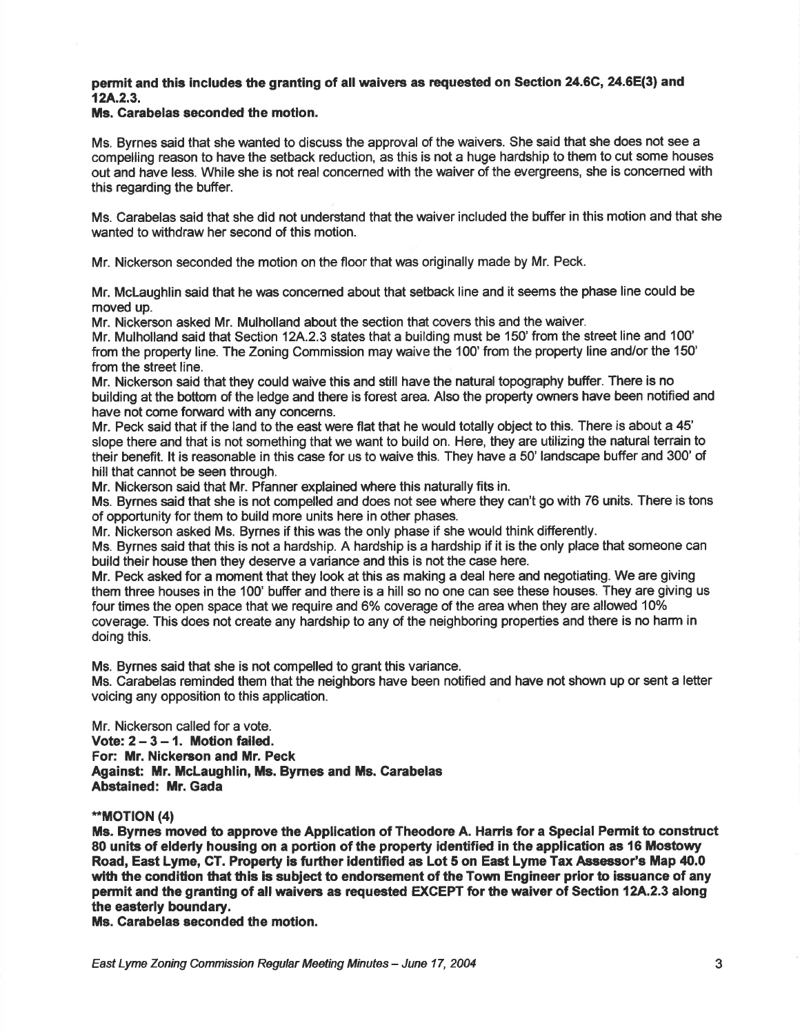## permit and this includes the granting of all waivers as requested on Section 24.6C, 24.6E(3) and  $12A.2.3.$

#### Ms. Carabelas seconded the motion.

Ms. Byrnes said that she wanted to discuss the approval of the waivers. She said that she does not see a compelling reason to have the setback reduction, as this is not a huge hardship to them to cut some houses out and have less. While she is not real concerned with the waiver of the evergreens, she is concemed with this regarding the buffer.

Ms. Carabelas said that she did not understand that the waiver included the buffer in this motion and that she wanted to withdraw her second of this motion.

Mr. Nickerson seconded the motion on the floor that was originally made by Mr. Peck.

Mr. Mclaughlin said that he was concerned about that setback line and it seems the phase line could be moved up.

Mr. Nickerson asked Mr. Mulholland about the section that covers this and the waiver.

Mr. Mulholland said that Section 12A.2.3 states that a building must be 150' from the street line and 100' from the property line. The Zoning Commission may waive the 100' from the property line and/or the 150' from the street line.

Mr. Nickerson said that they could waive this and still have the natural topography buffer. There is no building at the boftom of the ledge and there is forest area. Also the property owners have been notified and have not come forward with any concerns.

Mr. Peck said that if the land to the east were flat that he would totally object to this. There is about a 45' slope there and that is not something that we want to build on. Here, they are utilizing the natural terrain to their benefit. lt is reasonable in this case for us to waive this. They have a 50' landscape buffer and 300' of hill that cannot be seen through.

Mr. Nickerson said that Mr. Pfanner explained where this naturally fits in.

Ms. Byrnes said that she is not compelled and does not see where they can't go with 76 units. There is tons of opportunity for them to build more units here in other phases.

Mr. Nickerson asked Ms. Byrnes if this was the only phase if she would think differently.

Ms. Byrnes said that this is not a hardship. A hardship is a hardship if it is the only place that someone can build their house then they deserve a variance and this is not the case here.

Mr. Peck asked for a moment that they took at this as making a deal here and negotiating. We are giving them three houses in the 100' buffer and there is a hill so no one can see these houses. They are giving us four times the open space that we require and 6% coverage of the area when they are allowed 10% coverage. This does not create any hardship to any of the neighboring properties and there is no harm in doing this.

Ms. Bymes said that she is not compelled to grant this variance.

Ms. Carabelas reminded them that the neighbors have been notified and have not shown up or sent a letter voicing any opposition to this application.

Mr. Nickerson called for a vote. Vote:  $2 - 3 - 1$ . Motion failed. For: Mr. Nickerson and Mr. Peck Against: Mr. McLaughlin, Ms. Byrnes and Ms. Carabelas Abstained: Mr. Gada

#### \*MOTION (4)

Ms. Byrnee moved to apprcve the Application of Theodore A. Harris for a Special Permit to construct 80 units of elderly housing on a portion of the property identified in the application as 16 Mostowy Road, East Lyme, CT. Property is further identified as Lot 5 on East Lyme Tax Assessor's Map 40.0 with the condition that this is subject to endorsement of the Town Engineer prior to issuance of any permit and the granting of all waivers as requested EXCEPT for the waiver of Section 12A.2.3 along the easterly boundary.

Ms. Carabelas seconded the motion.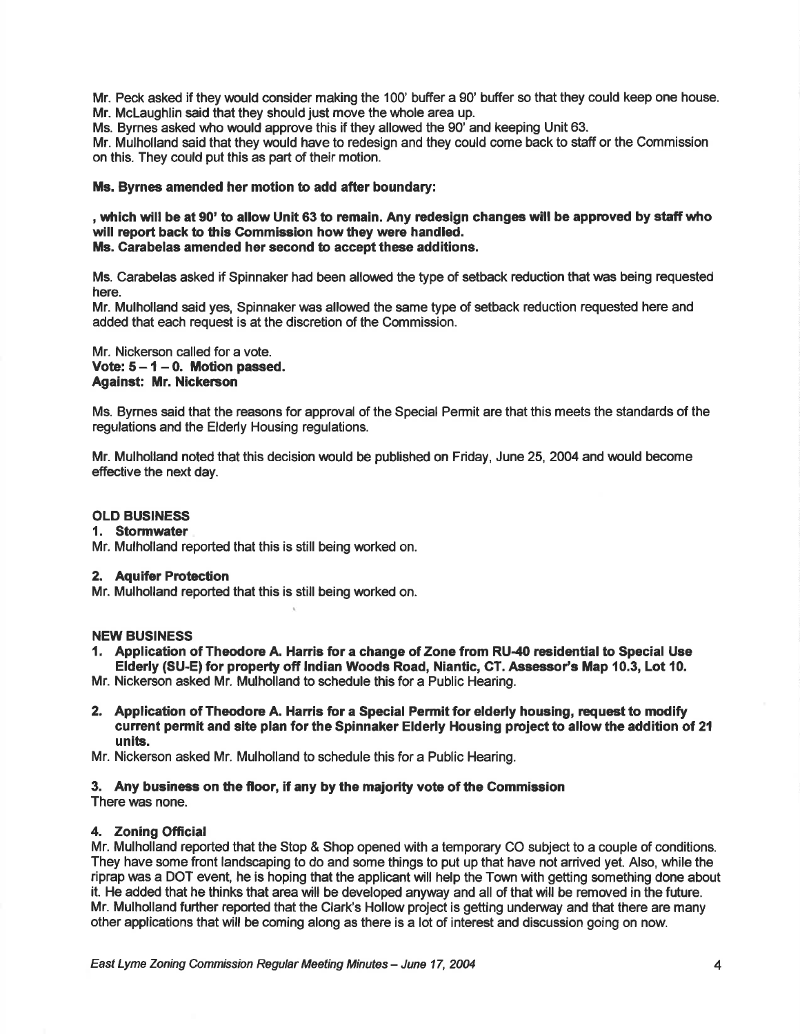Mr. Peck asked if they would consider making the 100' buffer a 90' buffer so that they could keep one house. Mr. Mclaughlin said that they should just move the whole area up.

Ms. Bymes asked who would approve this if they allowed the g0' and keeping Unit 63.

Mr. Mulholland said that they would have to redesign and they could come back to staff or the Commission on this. They could put this as part of their motion.

# Ms. Byrnes amended her motion to add after boundary:

, which will be at 90' to allow Unit 63 to remain. Any redesign changes will be approved by staff who will report back to this Gommission how they were handled. Ms. Carabelas amended her second to accept these additions.

Ms. Carabelas asked if Spinnaker had been allowed the type of setback reduction that was being requested here.

Mr. Mulholland said yes, Spinnaker was allowed the same type of setback reduction requested here and added that each request is at the discretion of the Commission.

Mr. Nickerson called for a vote. Vote:  $5 - 1 - 0$ . Motion passed. Against: Mr. Nickerson

Ms. Byrnes said that the reasons for approval of the Special Permit are that this meets the standards of the regulations and the Elderly Housing regulations.

Mr. Mulholland noted that this decision would be published on Friday, June 25, 2004 and would become effective the next day.

#### OLD BUSINESS

#### 1. Stormwater

Mr. Mulholland reported that this is still being worked on.

# 2. Aquifer Protection

Mr. Mulholland reported that this is still being worked on.

#### NEW BUSINESS

1. Application of Theodore A. Harris for a change of Zone from RU-40 residential to Special Use Elderly (SU-E) for property off Indian Woods Road, Niantic, CT. Assessor's Map 10.3, Lot 10.

Mr. Nickerson asked Mr. Mulholland to schedule this for a Public Hearing.

2. Application of Theodore A. Harris for a Special Permit for elderly housing, request to modify current permit and site plan for the Spinnaker Elderly Housing project to allow the addition of 21 units.

Mr. Nickerson asked Mr. Mulholland to schedule this for a Public Hearing.

# 3. Any business on the floor, if any by the majority vote of the Commission

There was none.

# 4. Zoning Official

Mr. Mulholland reported that the Stop & Shop opened with a temporary CO subject to a couple of conditions. They have some front landscaping to do and some things to put up that have not anived yet. Also, while the riprap was a DOT event, he is hoping that the applicant will help the Town with getting something done about it. He added that he thinks that area will be developed anyway and all of that will be remwed in the future. Mr. Mulholland further reported that the Clark's Hollow project is getting underway and that there are many other applications that will be coming along as there is a lot of interest and discussion going on now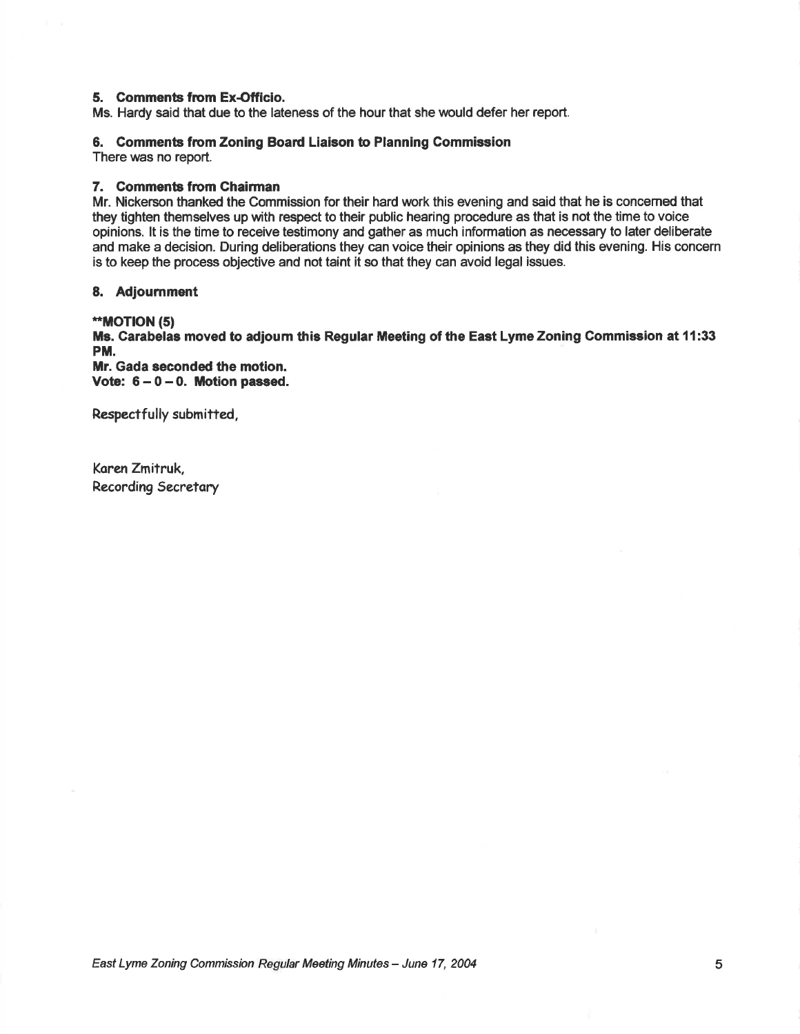## 5. Comments fiom Ex-Officio.

Ms. Hardy said that due to the lateness of the hour that she would defer her report.

#### 6. Gomments fiom Zoning Board Liaison to Planning Commission

There was no report.

# 7. Comments from Chairman

Mr. Nickerson thanked the Commission for their hard work this evening and said that he is concemed that they tighten themselves up with respect to their public hearing procedure as that is not the time to voice opinions. lt is the time to receive testimony and gather as much information as necessary to later deliberate and make a decision. During deliberations they can voice their opinions as they did this evening. His concern is to keep the process objective and not taint it so that they can avoid legal issues.

#### 8. Adjournment

#### \*\*MOTION (5)

Ms. Garabelas moved to adjoum this Regular Meeting of the East Lyme Zoning Commiesion at 11:33 PM.

Mr. Gada seconded the motion. Vote:  $6 - 0 - 0$ . Motion passed.

Respectfully submitted,

Koren Zmitruk, Recording Secretary